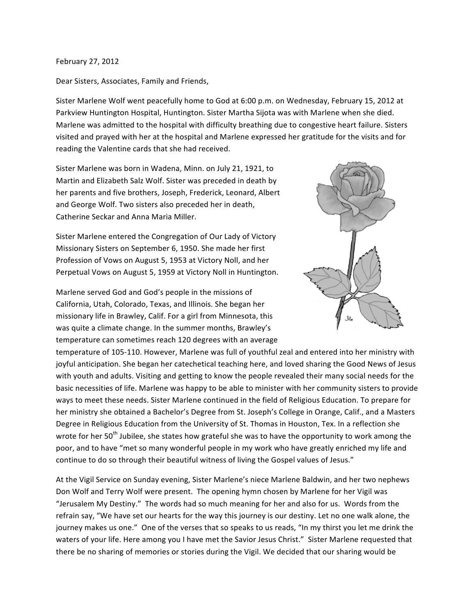February 27, 2012

Dear Sisters, Associates, Family and Friends,

Sister Marlene Wolf went peacefully home to God at 6:00 p.m. on Wednesday, February 15, 2012 at Parkview Huntington Hospital, Huntington. Sister Martha Sijota was with Marlene when she died. Marlene was admitted to the hospital with difficulty breathing due to congestive heart failure. Sisters visited and prayed with her at the hospital and Marlene expressed her gratitude for the visits and for reading the Valentine cards that she had received.

Sister Marlene was born in Wadena, Minn. on July 21, 1921, to Martin and Elizabeth Salz Wolf. Sister was preceded in death by her parents and five brothers, Joseph, Frederick, Leonard, Albert and George Wolf. Two sisters also preceded her in death, Catherine Seckar and Anna Maria Miller.

Sister Marlene entered the Congregation of Our Lady of Victory Missionary Sisters on September 6, 1950. She made her first Profession of Vows on August 5, 1953 at Victory Noll, and her Perpetual Vows on August 5, 1959 at Victory Noll in Huntington.

Marlene served God and God's people in the missions of California, Utah, Colorado, Texas, and Illinois. She began her missionary life in Brawley, Calif. For a girl from Minnesota, this was quite a climate change. In the summer months, Brawley's temperature can sometimes reach 120 degrees with an average



temperature of 105-110. However, Marlene was full of youthful zeal and entered into her ministry with joyful anticipation. She began her catechetical teaching here, and loved sharing the Good News of Jesus with youth and adults. Visiting and getting to know the people revealed their many social needs for the basic necessities of life. Marlene was happy to be able to minister with her community sisters to provide ways to meet these needs. Sister Marlene continued in the field of Religious Education. To prepare for her ministry she obtained a Bachelor's Degree from St. Joseph's College in Orange, Calif., and a Masters Degree in Religious Education from the University of St. Thomas in Houston, Tex. In a reflection she wrote for her  $50<sup>th</sup>$  Jubilee, she states how grateful she was to have the opportunity to work among the poor, and to have "met so many wonderful people in my work who have greatly enriched my life and continue to do so through their beautiful witness of living the Gospel values of Jesus."

At the Vigil Service on Sunday evening, Sister Marlene's niece Marlene Baldwin, and her two nephews Don Wolf and Terry Wolf were present. The opening hymn chosen by Marlene for her Vigil was "Jerusalem My Destiny." The words had so much meaning for her and also for us. Words from the refrain say, "We have set our hearts for the way this journey is our destiny. Let no one walk alone, the journey makes us one." One of the verses that so speaks to us reads, "In my thirst you let me drink the waters of your life. Here among you I have met the Savior Jesus Christ." Sister Marlene requested that there be no sharing of memories or stories during the Vigil. We decided that our sharing would be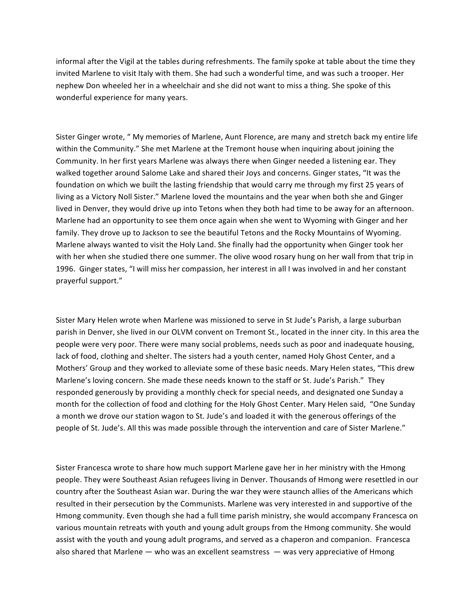informal after the Vigil at the tables during refreshments. The family spoke at table about the time they invited Marlene to visit Italy with them. She had such a wonderful time, and was such a trooper. Her nephew Don wheeled her in a wheelchair and she did not want to miss a thing. She spoke of this wonderful experience for many years.

Sister Ginger wrote, " My memories of Marlene, Aunt Florence, are many and stretch back my entire life within the Community." She met Marlene at the Tremont house when inquiring about joining the Community. In her first years Marlene was always there when Ginger needed a listening ear. They walked together around Salome Lake and shared their Joys and concerns. Ginger states, "It was the foundation on which we built the lasting friendship that would carry me through my first 25 years of living as a Victory Noll Sister." Marlene loved the mountains and the year when both she and Ginger lived in Denver, they would drive up into Tetons when they both had time to be away for an afternoon. Marlene had an opportunity to see them once again when she went to Wyoming with Ginger and her family. They drove up to Jackson to see the beautiful Tetons and the Rocky Mountains of Wyoming. Marlene always wanted to visit the Holy Land. She finally had the opportunity when Ginger took her with her when she studied there one summer. The olive wood rosary hung on her wall from that trip in 1996. Ginger states, "I will miss her compassion, her interest in all I was involved in and her constant prayerful support."

Sister Mary Helen wrote when Marlene was missioned to serve in St Jude's Parish, a large suburban parish in Denver, she lived in our OLVM convent on Tremont St., located in the inner city. In this area the people were very poor. There were many social problems, needs such as poor and inadequate housing, lack of food, clothing and shelter. The sisters had a youth center, named Holy Ghost Center, and a Mothers' Group and they worked to alleviate some of these basic needs. Mary Helen states, "This drew Marlene's loving concern. She made these needs known to the staff or St. Jude's Parish." They responded generously by providing a monthly check for special needs, and designated one Sunday a month for the collection of food and clothing for the Holy Ghost Center. Mary Helen said, "One Sunday a month we drove our station wagon to St. Jude's and loaded it with the generous offerings of the people of St. Jude's. All this was made possible through the intervention and care of Sister Marlene."

Sister Francesca wrote to share how much support Marlene gave her in her ministry with the Hmong people. They were Southeast Asian refugees living in Denver. Thousands of Hmong were resettled in our country after the Southeast Asian war. During the war they were staunch allies of the Americans which resulted in their persecution by the Communists. Marlene was very interested in and supportive of the Hmong community. Even though she had a full time parish ministry, she would accompany Francesca on various mountain retreats with youth and young adult groups from the Hmong community. She would assist with the youth and young adult programs, and served as a chaperon and companion. Francesca also shared that Marlene  $-$  who was an excellent seamstress  $-$  was very appreciative of Hmong